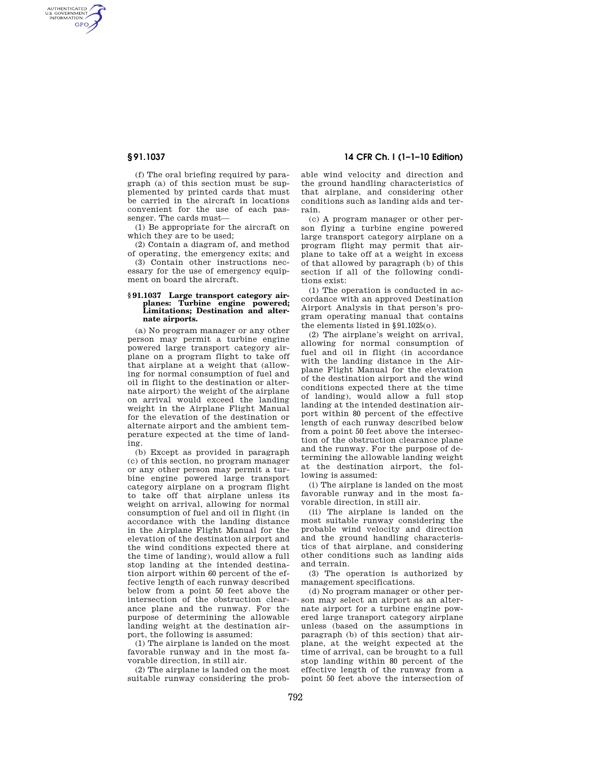AUTHENTICATED<br>U.S. GOVERNMENT<br>INFORMATION **GPO** 

> (f) The oral briefing required by paragraph (a) of this section must be supplemented by printed cards that must be carried in the aircraft in locations convenient for the use of each passenger. The cards must—

(1) Be appropriate for the aircraft on which they are to be used;

(2) Contain a diagram of, and method of operating, the emergency exits; and (3) Contain other instructions nec-

essary for the use of emergency equipment on board the aircraft.

### **§ 91.1037 Large transport category airplanes: Turbine engine powered; Limitations; Destination and alternate airports.**

(a) No program manager or any other person may permit a turbine engine powered large transport category airplane on a program flight to take off that airplane at a weight that (allowing for normal consumption of fuel and oil in flight to the destination or alternate airport) the weight of the airplane on arrival would exceed the landing weight in the Airplane Flight Manual for the elevation of the destination or alternate airport and the ambient temperature expected at the time of landing.

(b) Except as provided in paragraph (c) of this section, no program manager or any other person may permit a turbine engine powered large transport category airplane on a program flight to take off that airplane unless its weight on arrival, allowing for normal consumption of fuel and oil in flight (in accordance with the landing distance in the Airplane Flight Manual for the elevation of the destination airport and the wind conditions expected there at the time of landing), would allow a full stop landing at the intended destination airport within 60 percent of the effective length of each runway described below from a point 50 feet above the intersection of the obstruction clearance plane and the runway. For the purpose of determining the allowable landing weight at the destination airport, the following is assumed:

(1) The airplane is landed on the most favorable runway and in the most favorable direction, in still air.

(2) The airplane is landed on the most suitable runway considering the prob-

# **§ 91.1037 14 CFR Ch. I (1–1–10 Edition)**

able wind velocity and direction and the ground handling characteristics of that airplane, and considering other conditions such as landing aids and terrain.

(c) A program manager or other person flying a turbine engine powered large transport category airplane on a program flight may permit that airplane to take off at a weight in excess of that allowed by paragraph (b) of this section if all of the following conditions exist:

(1) The operation is conducted in accordance with an approved Destination Airport Analysis in that person's program operating manual that contains the elements listed in §91.1025(o).

(2) The airplane's weight on arrival, allowing for normal consumption of fuel and oil in flight (in accordance with the landing distance in the Airplane Flight Manual for the elevation of the destination airport and the wind conditions expected there at the time of landing), would allow a full stop landing at the intended destination airport within 80 percent of the effective length of each runway described below from a point 50 feet above the intersection of the obstruction clearance plane and the runway. For the purpose of determining the allowable landing weight at the destination airport, the following is assumed:

(i) The airplane is landed on the most favorable runway and in the most favorable direction, in still air.

(ii) The airplane is landed on the most suitable runway considering the probable wind velocity and direction and the ground handling characteristics of that airplane, and considering other conditions such as landing aids and terrain.

(3) The operation is authorized by management specifications.

(d) No program manager or other person may select an airport as an alternate airport for a turbine engine powered large transport category airplane unless (based on the assumptions in paragraph (b) of this section) that airplane, at the weight expected at the time of arrival, can be brought to a full stop landing within 80 percent of the effective length of the runway from a point 50 feet above the intersection of